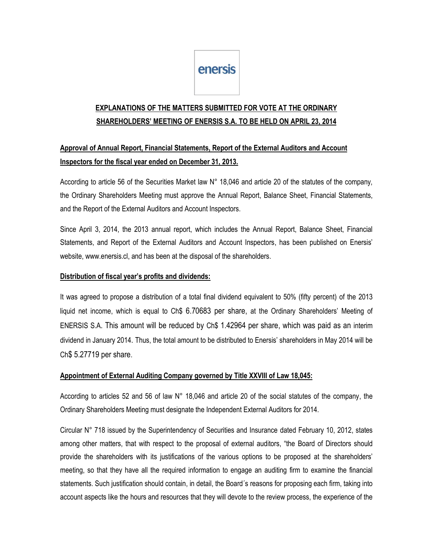# enersis

# **EXPLANATIONS OF THE MATTERS SUBMITTED FOR VOTE AT THE ORDINARY SHAREHOLDERS' MEETING OF ENERSIS S.A. TO BE HELD ON APRIL 23, 2014**

## **Approval of Annual Report, Financial Statements, Report of the External Auditors and Account Inspectors for the fiscal year ended on December 31, 2013.**

According to article 56 of the Securities Market law N° 18,046 and article 20 of the statutes of the company, the Ordinary Shareholders Meeting must approve the Annual Report, Balance Sheet, Financial Statements, and the Report of the External Auditors and Account Inspectors.

Since April 3, 2014, the 2013 annual report, which includes the Annual Report, Balance Sheet, Financial Statements, and Report of the External Auditors and Account Inspectors, has been published on Enersis' website, www.enersis.cl, and has been at the disposal of the shareholders.

#### **Distribution of fiscal year's profits and dividends:**

It was agreed to propose a distribution of a total final dividend equivalent to 50% (fifty percent) of the 2013 liquid net income, which is equal to Ch\$ 6.70683 per share, at the Ordinary Shareholders' Meeting of ENERSIS S.A. This amount will be reduced by Ch\$ 1.42964 per share, which was paid as an interim dividend in January 2014. Thus, the total amount to be distributed to Enersis' shareholders in May 2014 will be Ch\$ 5.27719 per share.

#### **Appointment of External Auditing Company governed by Title XXVIII of Law 18,045:**

According to articles 52 and 56 of law N° 18,046 and article 20 of the social statutes of the company, the Ordinary Shareholders Meeting must designate the Independent External Auditors for 2014.

Circular N° 718 issued by the Superintendency of Securities and Insurance dated February 10, 2012, states among other matters, that with respect to the proposal of external auditors, "the Board of Directors should provide the shareholders with its justifications of the various options to be proposed at the shareholders' meeting, so that they have all the required information to engage an auditing firm to examine the financial statements. Such justification should contain, in detail, the Board´s reasons for proposing each firm, taking into account aspects like the hours and resources that they will devote to the review process, the experience of the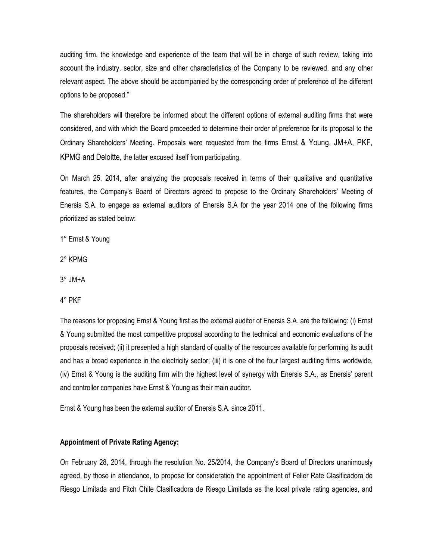auditing firm, the knowledge and experience of the team that will be in charge of such review, taking into account the industry, sector, size and other characteristics of the Company to be reviewed, and any other relevant aspect. The above should be accompanied by the corresponding order of preference of the different options to be proposed."

The shareholders will therefore be informed about the different options of external auditing firms that were considered, and with which the Board proceeded to determine their order of preference for its proposal to the Ordinary Shareholders' Meeting. Proposals were requested from the firms Ernst & Young, JM+A, PKF, KPMG and Deloitte, the latter excused itself from participating.

On March 25, 2014, after analyzing the proposals received in terms of their qualitative and quantitative features, the Company's Board of Directors agreed to propose to the Ordinary Shareholders' Meeting of Enersis S.A. to engage as external auditors of Enersis S.A for the year 2014 one of the following firms prioritized as stated below:

1° Ernst & Young

2° KPMG

3° JM+A

4° PKF

The reasons for proposing Ernst & Young first as the external auditor of Enersis S.A. are the following: (i) Ernst & Young submitted the most competitive proposal according to the technical and economic evaluations of the proposals received; (ii) it presented a high standard of quality of the resources available for performing its audit and has a broad experience in the electricity sector; (iii) it is one of the four largest auditing firms worldwide, (iv) Ernst & Young is the auditing firm with the highest level of synergy with Enersis S.A., as Enersis' parent and controller companies have Ernst & Young as their main auditor.

Ernst & Young has been the external auditor of Enersis S.A. since 2011.

#### **Appointment of Private Rating Agency:**

On February 28, 2014, through the resolution No. 25/2014, the Company's Board of Directors unanimously agreed, by those in attendance, to propose for consideration the appointment of Feller Rate Clasificadora de Riesgo Limitada and Fitch Chile Clasificadora de Riesgo Limitada as the local private rating agencies, and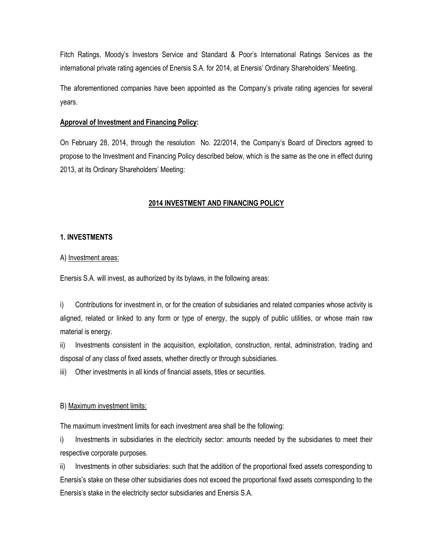Fitch Ratings, Moody's Investors Service and Standard & Poor's International Ratings Services as the international private rating agencies of Enersis S.A. for 2014, at Enersis' Ordinary Shareholders' Meeting.

The aforementioned companies have been appointed as the Company's private rating agencies for several years.

#### **Approval of Investment and Financing Policy:**

On February 28, 2014, through the resolution No. 22/2014, the Company's Board of Directors agreed to propose to the Investment and Financing Policy described below, which is the same as the one in effect during 2013, at its Ordinary Shareholders' Meeting:

### **2014 INVESTMENT AND FINANCING POLICY**

#### **1. INVESTMENTS**

#### A) Investment areas:

Enersis S.A. will invest, as authorized by its bylaws, in the following areas:

i) Contributions for investment in, or for the creation of subsidiaries and related companies whose activity is aligned, related or linked to any form or type of energy, the supply of public utilities, or whose main raw material is energy.

ii) Investments consistent in the acquisition, exploitation, construction, rental, administration, trading and disposal of any class of fixed assets, whether directly or through subsidiaries.

iii) Other investments in all kinds of financial assets, titles or securities.

#### B) Maximum investment limits:

The maximum investment limits for each investment area shall be the following:

i) Investments in subsidiaries in the electricity sector: amounts needed by the subsidiaries to meet their respective corporate purposes.

ii) Investments in other subsidiaries: such that the addition of the proportional fixed assets corresponding to Enersis's stake on these other subsidiaries does not exceed the proportional fixed assets corresponding to the Enersis's stake in the electricity sector subsidiaries and Enersis S.A.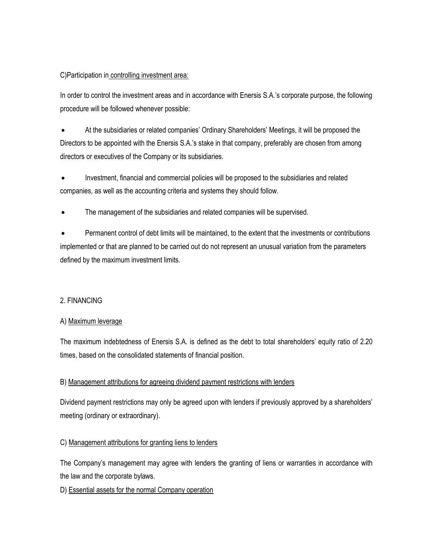#### C)Participation in controlling investment area:

In order to control the investment areas and in accordance with Enersis S.A.'s corporate purpose, the following procedure will be followed whenever possible:

 At the subsidiaries or related companies' Ordinary Shareholders' Meetings, it will be proposed the Directors to be appointed with the Enersis S.A.'s stake in that company, preferably are chosen from among directors or executives of the Company or its subsidiaries.

 Investment, financial and commercial policies will be proposed to the subsidiaries and related companies, as well as the accounting criteria and systems they should follow.

The management of the subsidiaries and related companies will be supervised.

 Permanent control of debt limits will be maintained, to the extent that the investments or contributions implemented or that are planned to be carried out do not represent an unusual variation from the parameters defined by the maximum investment limits.

#### 2. FINANCING

#### A) Maximum leverage

The maximum indebtedness of Enersis S.A. is defined as the debt to total shareholders' equity ratio of 2.20 times, based on the consolidated statements of financial position.

#### B) Management attributions for agreeing dividend payment restrictions with lenders

Dividend payment restrictions may only be agreed upon with lenders if previously approved by a shareholders' meeting (ordinary or extraordinary).

#### C) Management attributions for granting liens to lenders

The Company's management may agree with lenders the granting of liens or warranties in accordance with the law and the corporate bylaws.

D) Essential assets for the normal Company operation